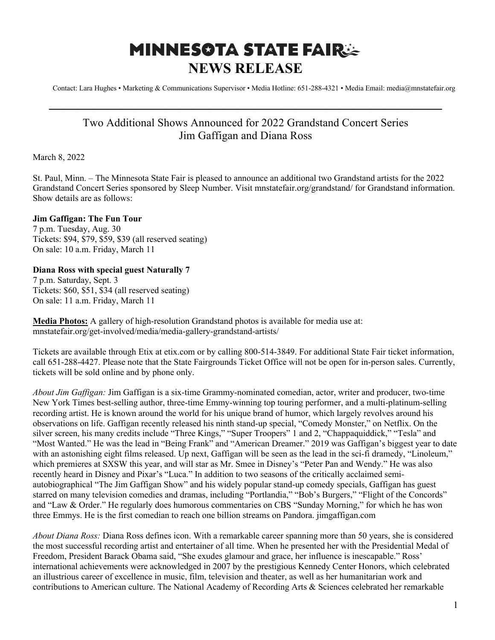## **MINNESOTA STATE FAIRSE NEWS RELEASE**

Contact: Lara Hughes • Marketing & Communications Supervisor • Media Hotline: 651-288-4321 • Media Email: media@mnstatefair.org

## Two Additional Shows Announced for 2022 Grandstand Concert Series Jim Gaffigan and Diana Ross

**———————————————————————————**

March 8, 2022

St. Paul, Minn. – The Minnesota State Fair is pleased to announce an additional two Grandstand artists for the 2022 Grandstand Concert Series sponsored by Sleep Number. Visit mnstatefair.org/grandstand/ for Grandstand information. Show details are as follows:

## **Jim Gaffigan: The Fun Tour**

7 p.m. Tuesday, Aug. 30 Tickets: \$94, \$79, \$59, \$39 (all reserved seating) On sale: 10 a.m. Friday, March 11

## **Diana Ross with special guest Naturally 7**

7 p.m. Saturday, Sept. 3 Tickets: \$60, \$51, \$34 (all reserved seating) On sale: 11 a.m. Friday, March 11

**Media Photos:** A gallery of high-resolution Grandstand photos is available for media use at: mnstatefair.org/get-involved/media/media-gallery-grandstand-artists/

Tickets are available through Etix at etix.com or by calling 800-514-3849. For additional State Fair ticket information, call 651-288-4427. Please note that the State Fairgrounds Ticket Office will not be open for in-person sales. Currently, tickets will be sold online and by phone only.

*About Jim Gaffigan:* Jim Gaffigan is a six-time Grammy-nominated comedian, actor, writer and producer, two-time New York Times best-selling author, three-time Emmy-winning top touring performer, and a multi-platinum-selling recording artist. He is known around the world for his unique brand of humor, which largely revolves around his observations on life. Gaffigan recently released his ninth stand-up special, "Comedy Monster," on Netflix. On the silver screen, his many credits include "Three Kings," "Super Troopers" 1 and 2, "Chappaquiddick," "Tesla" and "Most Wanted." He was the lead in "Being Frank" and "American Dreamer." 2019 was Gaffigan's biggest year to date with an astonishing eight films released. Up next, Gaffigan will be seen as the lead in the sci-fi dramedy, "Linoleum," which premieres at SXSW this year, and will star as Mr. Smee in Disney's "Peter Pan and Wendy." He was also recently heard in Disney and Pixar's "Luca." In addition to two seasons of the critically acclaimed semiautobiographical "The Jim Gaffigan Show" and his widely popular stand-up comedy specials, Gaffigan has guest starred on many television comedies and dramas, including "Portlandia," "Bob's Burgers," "Flight of the Concords" and "Law & Order." He regularly does humorous commentaries on CBS "Sunday Morning," for which he has won three Emmys. He is the first comedian to reach one billion streams on Pandora. jimgaffigan.com

*About Diana Ross:* Diana Ross defines icon. With a remarkable career spanning more than 50 years, she is considered the most successful recording artist and entertainer of all time. When he presented her with the Presidential Medal of Freedom, President Barack Obama said, "She exudes glamour and grace, her influence is inescapable." Ross' international achievements were acknowledged in 2007 by the prestigious Kennedy Center Honors, which celebrated an illustrious career of excellence in music, film, television and theater, as well as her humanitarian work and contributions to American culture. The National Academy of Recording Arts & Sciences celebrated her remarkable